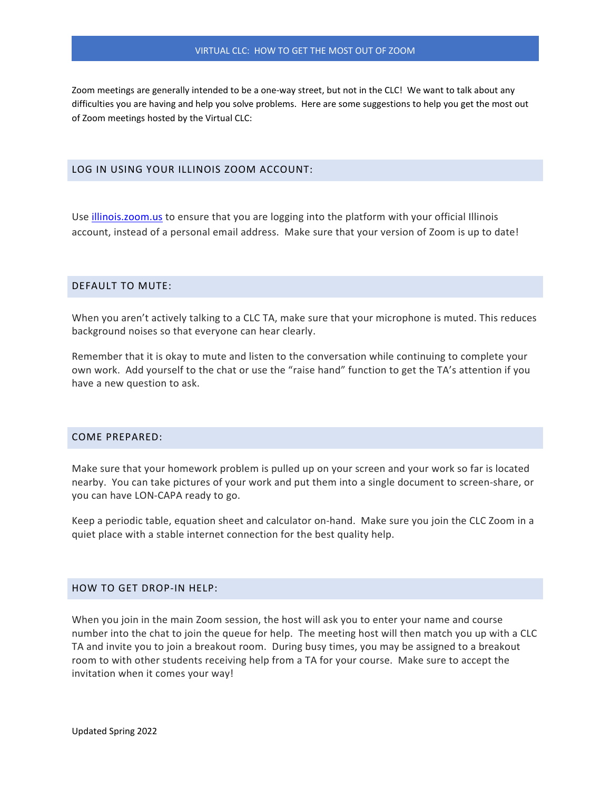#### VIRTUAL CLC: HOW TO GET THE MOST OUT OF ZOOM

Zoom meetings are generally intended to be a one-way street, but not in the CLC! We want to talk about any difficulties you are having and help you solve problems. Here are some suggestions to help you get the most out of Zoom meetings hosted by the Virtual CLC:

### LOG IN USING YOUR ILLINOIS ZOOM ACCOUNT:

Use *illinois.zoom.us* to ensure that you are logging into the platform with your official Illinois account, instead of a personal email address. Make sure that your version of Zoom is up to date!

# DEFAULT TO MUTE:

When you aren't actively talking to a CLC TA, make sure that your microphone is muted. This reduces background noises so that everyone can hear clearly.

Remember that it is okay to mute and listen to the conversation while continuing to complete your own work. Add yourself to the chat or use the "raise hand" function to get the TA's attention if you have a new question to ask.

#### COME PREPARED:

Make sure that your homework problem is pulled up on your screen and your work so far is located nearby. You can take pictures of your work and put them into a single document to screen-share, or you can have LON-CAPA ready to go.

Keep a periodic table, equation sheet and calculator on-hand. Make sure you join the CLC Zoom in a quiet place with a stable internet connection for the best quality help.

### HOW TO GET DROP-IN HELP:

When you join in the main Zoom session, the host will ask you to enter your name and course number into the chat to join the queue for help. The meeting host will then match you up with a CLC TA and invite you to join a breakout room. During busy times, you may be assigned to a breakout room to with other students receiving help from a TA for your course. Make sure to accept the invitation when it comes your way!